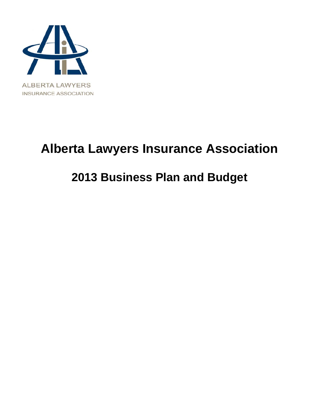

# **Alberta Lawyers Insurance Association**

## **2013 Business Plan and Budget**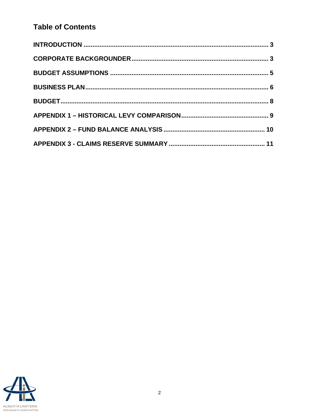## **Table of Contents**

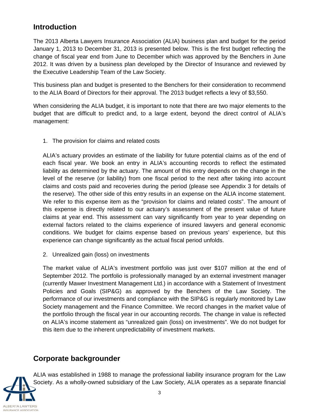## **Introduction**

The 2013 Alberta Lawyers Insurance Association (ALIA) business plan and budget for the period January 1, 2013 to December 31, 2013 is presented below. This is the first budget reflecting the change of fiscal year end from June to December which was approved by the Benchers in June 2012. It was driven by a business plan developed by the Director of Insurance and reviewed by the Executive Leadership Team of the Law Society.

This business plan and budget is presented to the Benchers for their consideration to recommend to the ALIA Board of Directors for their approval. The 2013 budget reflects a levy of \$3,550.

When considering the ALIA budget, it is important to note that there are two major elements to the budget that are difficult to predict and, to a large extent, beyond the direct control of ALIA's management:

1. The provision for claims and related costs

ALIA's actuary provides an estimate of the liability for future potential claims as of the end of each fiscal year. We book an entry in ALIA's accounting records to reflect the estimated liability as determined by the actuary. The amount of this entry depends on the change in the level of the reserve (or liability) from one fiscal period to the next after taking into account claims and costs paid and recoveries during the period (please see Appendix 3 for details of the reserve). The other side of this entry results in an expense on the ALIA income statement. We refer to this expense item as the "provision for claims and related costs". The amount of this expense is directly related to our actuary's assessment of the present value of future claims at year end. This assessment can vary significantly from year to year depending on external factors related to the claims experience of insured lawyers and general economic conditions. We budget for claims expense based on previous years' experience, but this experience can change significantly as the actual fiscal period unfolds.

2. Unrealized gain (loss) on investments

The market value of ALIA's investment portfolio was just over \$107 million at the end of September 2012. The portfolio is professionally managed by an external investment manager (currently Mawer Investment Management Ltd.) in accordance with a Statement of Investment Policies and Goals (SIP&G) as approved by the Benchers of the Law Society. The performance of our investments and compliance with the SIP&G is regularly monitored by Law Society management and the Finance Committee. We record changes in the market value of the portfolio through the fiscal year in our accounting records. The change in value is reflected on ALIA's income statement as "unrealized gain (loss) on investments". We do not budget for this item due to the inherent unpredictability of investment markets.

### **Corporate backgrounder**



ALIA was established in 1988 to manage the professional liability insurance program for the Law Society. As a wholly-owned subsidiary of the Law Society, ALIA operates as a separate financial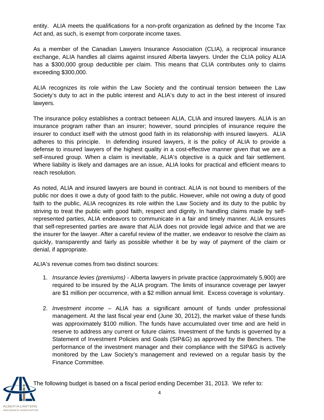entity. ALIA meets the qualifications for a non-profit organization as defined by the Income Tax Act and, as such, is exempt from corporate income taxes.

As a member of the Canadian Lawyers Insurance Association (CLIA), a reciprocal insurance exchange, ALIA handles all claims against insured Alberta lawyers. Under the CLIA policy ALIA has a \$300,000 group deductible per claim. This means that CLIA contributes only to claims exceeding \$300,000.

ALIA recognizes its role within the Law Society and the continual tension between the Law Society's duty to act in the public interest and ALIA's duty to act in the best interest of insured lawyers.

The insurance policy establishes a contract between ALIA, CLIA and insured lawyers. ALIA is an insurance program rather than an insurer; however, sound principles of insurance require the insurer to conduct itself with the utmost good faith in its relationship with insured lawyers. ALIA adheres to this principle. In defending insured lawyers, it is the policy of ALIA to provide a defense to insured lawyers of the highest quality in a cost-effective manner given that we are a self-insured group. When a claim is inevitable, ALIA's objective is a quick and fair settlement. Where liability is likely and damages are an issue, ALIA looks for practical and efficient means to reach resolution.

As noted, ALIA and insured lawyers are bound in contract. ALIA is not bound to members of the public nor does it owe a duty of good faith to the public. However, while not owing a duty of good faith to the public, ALIA recognizes its role within the Law Society and its duty to the public by striving to treat the public with good faith, respect and dignity. In handling claims made by selfrepresented parties, ALIA endeavors to communicate in a fair and timely manner. ALIA ensures that self-represented parties are aware that ALIA does not provide legal advice and that we are the insurer for the lawyer. After a careful review of the matter, we endeavor to resolve the claim as quickly, transparently and fairly as possible whether it be by way of payment of the claim or denial, if appropriate.

ALIA's revenue comes from two distinct sources:

**LBERTA LAWYERS** NSURANCE ASSOCIATION

- 1. *Insurance levies (premiums)* Alberta lawyers in private practice (approximately 5,900) are required to be insured by the ALIA program. The limits of insurance coverage per lawyer are \$1 million per occurrence, with a \$2 million annual limit. Excess coverage is voluntary.
- 2. *Investment income* ALIA has a significant amount of funds under professional management. At the last fiscal year end (June 30, 2012), the market value of these funds was approximately \$100 million. The funds have accumulated over time and are held in reserve to address any current or future claims. Investment of the funds is governed by a Statement of Investment Policies and Goals (SIP&G) as approved by the Benchers. The performance of the investment manager and their compliance with the SIP&G is actively monitored by the Law Society's management and reviewed on a regular basis by the Finance Committee.

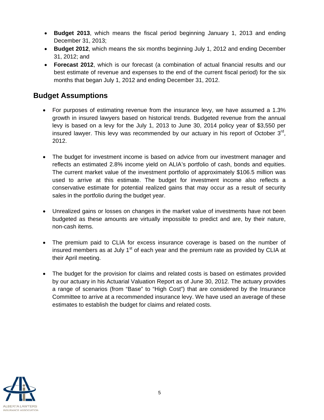- **Budget 2013**, which means the fiscal period beginning January 1, 2013 and ending December 31, 2013;
- **Budget 2012**, which means the six months beginning July 1, 2012 and ending December 31, 2012; and
- **Forecast 2012**, which is our forecast (a combination of actual financial results and our best estimate of revenue and expenses to the end of the current fiscal period) for the six months that began July 1, 2012 and ending December 31, 2012.

## **Budget Assumptions**

- For purposes of estimating revenue from the insurance levy, we have assumed a 1.3% growth in insured lawyers based on historical trends. Budgeted revenue from the annual levy is based on a levy for the July 1, 2013 to June 30, 2014 policy year of \$3,550 per insured lawyer. This levy was recommended by our actuary in his report of October  $3<sup>rd</sup>$ , 2012.
- The budget for investment income is based on advice from our investment manager and reflects an estimated 2.8% income yield on ALIA's portfolio of cash, bonds and equities. The current market value of the investment portfolio of approximately \$106.5 million was used to arrive at this estimate. The budget for investment income also reflects a conservative estimate for potential realized gains that may occur as a result of security sales in the portfolio during the budget year.
- Unrealized gains or losses on changes in the market value of investments have not been budgeted as these amounts are virtually impossible to predict and are, by their nature, non-cash items.
- The premium paid to CLIA for excess insurance coverage is based on the number of insured members as at July  $1<sup>st</sup>$  of each year and the premium rate as provided by CLIA at their April meeting.
- The budget for the provision for claims and related costs is based on estimates provided by our actuary in his Actuarial Valuation Report as of June 30, 2012. The actuary provides a range of scenarios (from "Base" to "High Cost") that are considered by the Insurance Committee to arrive at a recommended insurance levy. We have used an average of these estimates to establish the budget for claims and related costs.

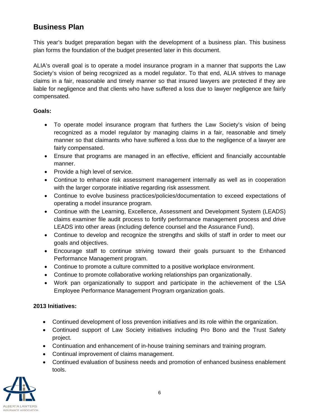## **Business Plan**

This year's budget preparation began with the development of a business plan. This business plan forms the foundation of the budget presented later in this document.

ALIA's overall goal is to operate a model insurance program in a manner that supports the Law Society's vision of being recognized as a model regulator. To that end, ALIA strives to manage claims in a fair, reasonable and timely manner so that insured lawyers are protected if they are liable for negligence and that clients who have suffered a loss due to lawyer negligence are fairly compensated.

#### **Goals:**

- To operate model insurance program that furthers the Law Society's vision of being recognized as a model regulator by managing claims in a fair, reasonable and timely manner so that claimants who have suffered a loss due to the negligence of a lawyer are fairly compensated.
- Ensure that programs are managed in an effective, efficient and financially accountable manner.
- Provide a high level of service.
- Continue to enhance risk assessment management internally as well as in cooperation with the larger corporate initiative regarding risk assessment.
- Continue to evolve business practices/policies/documentation to exceed expectations of operating a model insurance program.
- Continue with the Learning, Excellence, Assessment and Development System (LEADS) claims examiner file audit process to fortify performance management process and drive LEADS into other areas (including defence counsel and the Assurance Fund).
- Continue to develop and recognize the strengths and skills of staff in order to meet our goals and objectives.
- Encourage staff to continue striving toward their goals pursuant to the Enhanced Performance Management program.
- Continue to promote a culture committed to a positive workplace environment.
- Continue to promote collaborative working relationships pan organizationally.
- Work pan organizationally to support and participate in the achievement of the LSA Employee Performance Management Program organization goals.

#### **2013 Initiatives:**

- Continued development of loss prevention initiatives and its role within the organization.
- Continued support of Law Society initiatives including Pro Bono and the Trust Safety project.
- Continuation and enhancement of in-house training seminars and training program.
- Continual improvement of claims management.
- Continued evaluation of business needs and promotion of enhanced business enablement tools.

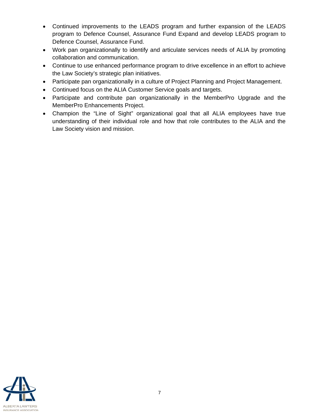- Continued improvements to the LEADS program and further expansion of the LEADS program to Defence Counsel, Assurance Fund Expand and develop LEADS program to Defence Counsel, Assurance Fund.
- Work pan organizationally to identify and articulate services needs of ALIA by promoting collaboration and communication.
- Continue to use enhanced performance program to drive excellence in an effort to achieve the Law Society's strategic plan initiatives.
- Participate pan organizationally in a culture of Project Planning and Project Management.
- Continued focus on the ALIA Customer Service goals and targets.
- Participate and contribute pan organizationally in the MemberPro Upgrade and the MemberPro Enhancements Project.
- Champion the "Line of Sight" organizational goal that all ALIA employees have true understanding of their individual role and how that role contributes to the ALIA and the Law Society vision and mission.

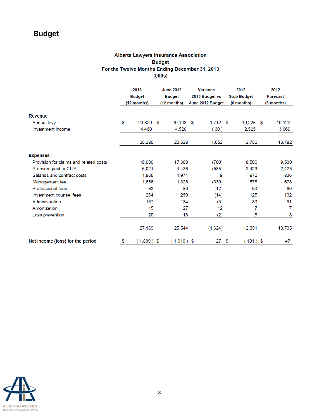## **Budget**

#### **Alberta Lawyers Insurance Association Budget** For the Twelve Months Ending December 31, 2013  $(000s)$

|                                        | 2013<br><b>Budget</b><br>(12 months) |              | <b>June 2012</b><br><b>Budget</b><br>(12 months) |              | Variance<br>2013 Budget vs<br>June 2012 Budget |            |    | 2012<br><b>Stub Budget</b><br>(6 months) |  | 2012<br><b>Forecast</b><br>(6 months) |  |
|----------------------------------------|--------------------------------------|--------------|--------------------------------------------------|--------------|------------------------------------------------|------------|----|------------------------------------------|--|---------------------------------------|--|
| Revenue                                |                                      |              |                                                  |              |                                                |            |    |                                          |  |                                       |  |
| Annual levy                            | \$                                   | 20,820 \$    |                                                  | 19,108 \$    |                                                | $1,712$ \$ |    | $10,225$ \$                              |  | 10,122                                |  |
| Investment income                      |                                      | 4,460        |                                                  | 4,520        |                                                | 60)        |    | 2,525                                    |  | 3,660                                 |  |
|                                        |                                      | 25,280       |                                                  | 23,628       |                                                | 1,652      |    | 12,750                                   |  | 13,782                                |  |
| <b>Expenses</b>                        |                                      |              |                                                  |              |                                                |            |    |                                          |  |                                       |  |
| Provision for claims and related costs |                                      | 18,000       |                                                  | 17,300       |                                                | (700)      |    | 8,500                                    |  | 9,500                                 |  |
| Premium paid to CLIA                   |                                      | 5,021        |                                                  | 4,436        |                                                | (585)      |    | 2,423                                    |  | 2,423                                 |  |
| Salaries and contract costs            |                                      | 1,965        |                                                  | 1,974        |                                                | 9          |    | 970                                      |  | 836                                   |  |
| Management fee                         |                                      | 1,656        |                                                  | 1,326        |                                                | (330)      |    | 678                                      |  | 678                                   |  |
| <b>Professional fees</b>               |                                      | 92           |                                                  | 80           |                                                | (12)       |    | 60                                       |  | 60                                    |  |
| Investment counsel fees                |                                      | 264          |                                                  | 250          |                                                | (14)       |    | 125                                      |  | 132                                   |  |
| Administration                         |                                      | 137          |                                                  | 134          |                                                | (3)        |    | 80                                       |  | 91                                    |  |
| Amortization                           |                                      | 15           |                                                  | 27           |                                                | 12         |    | 7                                        |  | 7                                     |  |
| Loss prevention                        |                                      | 20           |                                                  | 18           |                                                | (2)        |    | 8                                        |  | 8                                     |  |
|                                        |                                      | 27,169       |                                                  | 25,544       |                                                | (1,624)    |    | 12,851                                   |  | 13,735                                |  |
| Net income (loss) for the period       | \$                                   | $1,889$ ) \$ |                                                  | $(1,916)$ \$ |                                                | 27         | \$ | $(101)$ \$                               |  | 47                                    |  |

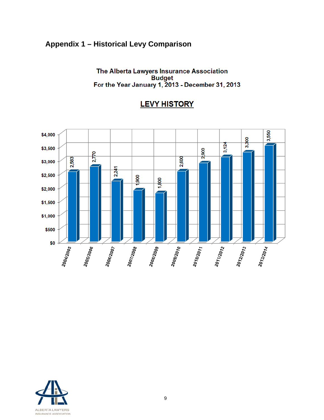## **Appendix 1 – Historical Levy Comparison**

The Alberta Lawyers Insurance Association For the Year Jampson Budget<br>For the Year January 1, 2013 - December 31, 2013

## **LEVY HISTORY**



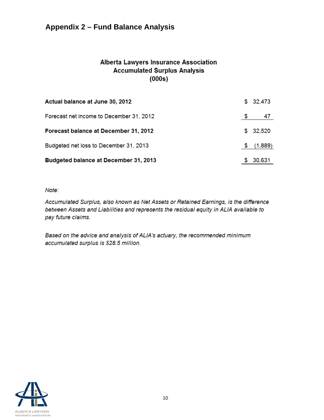## **Appendix 2 – Fund Balance Analysis**

#### **Alberta Lawyers Insurance Association Accumulated Surplus Analysis**  $(000s)$

| Actual balance at June 30, 2012              |    | \$32,473  |
|----------------------------------------------|----|-----------|
| Forecast net income to December 31, 2012     | -5 | 47        |
| Forecast balance at December 31, 2012        |    | \$32,520  |
| Budgeted net loss to December 31, 2013       |    | \$(1,889) |
| <b>Budgeted balance at December 31, 2013</b> |    | 30,631    |

Note:

Accumulated Surplus, also known as Net Assets or Retained Earnings, is the difference between Assets and Liabilities and represents the residual equity in ALIA available to pay future claims.

Based on the advice and analysis of ALIA's actuary, the recommended minimum accumulated surplus is \$28.5 million.